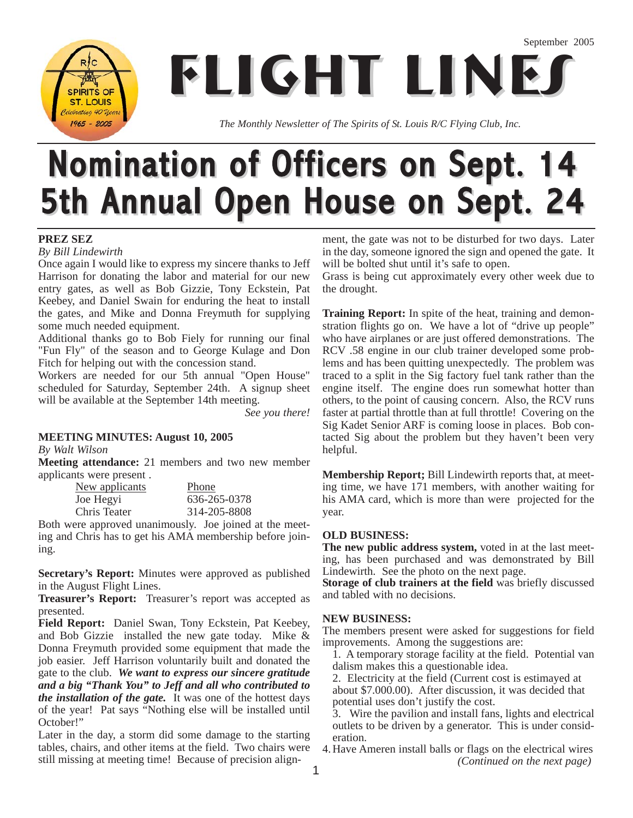**FLIGHT LINE SPIRITS OF ST. LOUIS** Colobrating 40 Years

*The Monthly Newsletter of The Spirits of St. Louis R/C Flying Club, Inc.*

# Nomination of Officers on Sept. 14 5th Annual Open House on Sept. 24

#### **PREZ SEZ**

*By Bill Lindewirth*

 $1965 - 2005$ 

Once again I would like to express my sincere thanks to Jeff Harrison for donating the labor and material for our new entry gates, as well as Bob Gizzie, Tony Eckstein, Pat Keebey, and Daniel Swain for enduring the heat to install the gates, and Mike and Donna Freymuth for supplying some much needed equipment.

Additional thanks go to Bob Fiely for running our final "Fun Fly" of the season and to George Kulage and Don Fitch for helping out with the concession stand.

Workers are needed for our 5th annual "Open House" scheduled for Saturday, September 24th. A signup sheet will be available at the September 14th meeting.

*See you there!*

#### **MEETING MINUTES: August 10, 2005**

*By Walt Wilson*

**Meeting attendance:** 21 members and two new member applicants were present .

| <u>New applicants</u> | Phone        |
|-----------------------|--------------|
| Joe Hegyi             | 636-265-0378 |
| Chris Teater          | 314-205-8808 |

Both were approved unanimously. Joe joined at the meeting and Chris has to get his AMA membership before joining.

**Secretary's Report:** Minutes were approved as published in the August Flight Lines.

**Treasurer's Report:** Treasurer's report was accepted as presented.

**Field Report:** Daniel Swan, Tony Eckstein, Pat Keebey, and Bob Gizzie installed the new gate today. Mike & Donna Freymuth provided some equipment that made the job easier. Jeff Harrison voluntarily built and donated the gate to the club. *We want to express our sincere gratitude and a big "Thank You" to Jeff and all who contributed to the installation of the gate.* It was one of the hottest days of the year! Pat says "Nothing else will be installed until October!"

Later in the day, a storm did some damage to the starting tables, chairs, and other items at the field. Two chairs were still missing at meeting time! Because of precision alignment, the gate was not to be disturbed for two days. Later in the day, someone ignored the sign and opened the gate. It will be bolted shut until it's safe to open.

Grass is being cut approximately every other week due to the drought.

**Training Report:** In spite of the heat, training and demonstration flights go on. We have a lot of "drive up people" who have airplanes or are just offered demonstrations. The RCV .58 engine in our club trainer developed some problems and has been quitting unexpectedly. The problem was traced to a split in the Sig factory fuel tank rather than the engine itself. The engine does run somewhat hotter than others, to the point of causing concern. Also, the RCV runs faster at partial throttle than at full throttle! Covering on the Sig Kadet Senior ARF is coming loose in places. Bob contacted Sig about the problem but they haven't been very helpful.

**Membership Report;** Bill Lindewirth reports that, at meeting time, we have 171 members, with another waiting for his AMA card, which is more than were projected for the year.

#### **OLD BUSINESS:**

**The new public address system,** voted in at the last meeting, has been purchased and was demonstrated by Bill Lindewirth. See the photo on the next page.

**Storage of club trainers at the field** was briefly discussed and tabled with no decisions.

#### **NEW BUSINESS:**

The members present were asked for suggestions for field improvements. Among the suggestions are:

1. A temporary storage facility at the field. Potential van dalism makes this a questionable idea.

2. Electricity at the field (Current cost is estimayed at about \$7.000.00). After discussion, it was decided that potential uses don't justify the cost.

3. Wire the pavilion and install fans, lights and electrical outlets to be driven by a generator. This is under consideration.

4. Have Ameren install balls or flags on the electrical wires *(Continued on the next page)*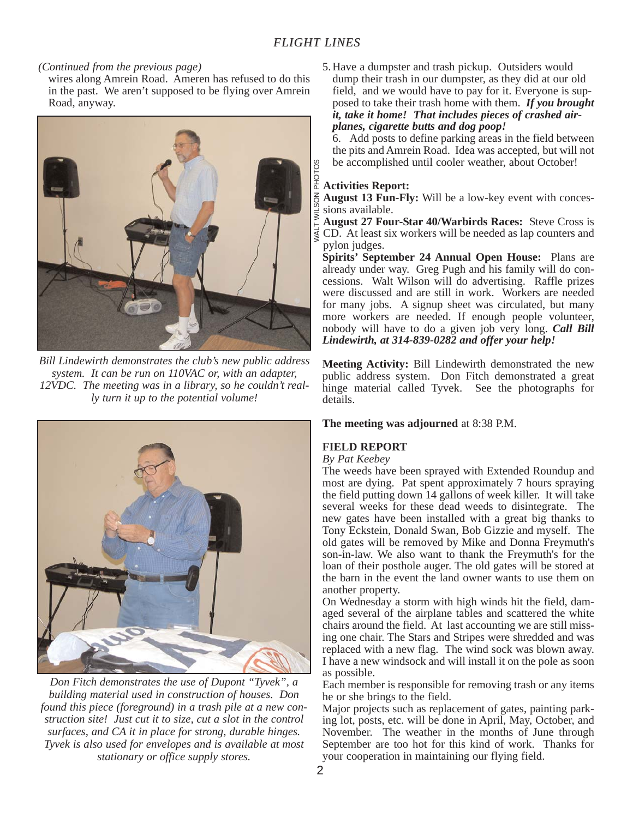#### *(Continued from the previous page)*

wires along Amrein Road. Ameren has refused to do this in the past. We aren't supposed to be flying over Amrein Road, anyway.



*Bill Lindewirth demonstrates the club's new public address system. It can be run on 110VAC or, with an adapter, 12VDC. The meeting was in a library, so he couldn't really turn it up to the potential volume!*



*Don Fitch demonstrates the use of Dupont "Tyvek", a building material used in construction of houses. Don found this piece (foreground) in a trash pile at a new construction site! Just cut it to size, cut a slot in the control surfaces, and CA it in place for strong, durable hinges. Tyvek is also used for envelopes and is available at most stationary or office supply stores.*

5. Have a dumpster and trash pickup. Outsiders would dump their trash in our dumpster, as they did at our old field, and we would have to pay for it. Everyone is supposed to take their trash home with them. *If you brought it, take it home! That includes pieces of crashed airplanes, cigarette butts and dog poop!*

6. Add posts to define parking areas in the field between the pits and Amrein Road. Idea was accepted, but will not be accomplished until cooler weather, about October!

## <sup>8</sup> be accomplished<br>  $\frac{5}{4}$  **Activities Report:**

**August 13 Fun-Fly:** Will be a low-key event with concessions available.

**August 27 Four-Star 40/Warbirds Races:** Steve Cross is  $\frac{1}{5}$  August 27 Four-Star 40/ Warbirds Races: Steve Cross is  $\frac{1}{5}$  CD. At least six workers will be needed as lap counters and pylon judges.

**Spirits' September 24 Annual Open House:** Plans are already under way. Greg Pugh and his family will do concessions. Walt Wilson will do advertising. Raffle prizes were discussed and are still in work. Workers are needed for many jobs. A signup sheet was circulated, but many more workers are needed. If enough people volunteer, nobody will have to do a given job very long. *Call Bill Lindewirth, at 314-839-0282 and offer your help!* 

**Meeting Activity:** Bill Lindewirth demonstrated the new public address system. Don Fitch demonstrated a great hinge material called Tyvek. See the photographs for details.

#### **The meeting was adjourned** at 8:38 P.M.

#### **FIELD REPORT**

#### *By Pat Keebey*

The weeds have been sprayed with Extended Roundup and most are dying. Pat spent approximately 7 hours spraying the field putting down 14 gallons of week killer. It will take several weeks for these dead weeds to disintegrate. The new gates have been installed with a great big thanks to Tony Eckstein, Donald Swan, Bob Gizzie and myself. The old gates will be removed by Mike and Donna Freymuth's son-in-law. We also want to thank the Freymuth's for the loan of their posthole auger. The old gates will be stored at the barn in the event the land owner wants to use them on another property.

On Wednesday a storm with high winds hit the field, damaged several of the airplane tables and scattered the white chairs around the field. At last accounting we are still missing one chair. The Stars and Stripes were shredded and was replaced with a new flag. The wind sock was blown away. I have a new windsock and will install it on the pole as soon as possible.

Each member is responsible for removing trash or any items he or she brings to the field.

Major projects such as replacement of gates, painting parking lot, posts, etc. will be done in April, May, October, and November. The weather in the months of June through September are too hot for this kind of work. Thanks for your cooperation in maintaining our flying field.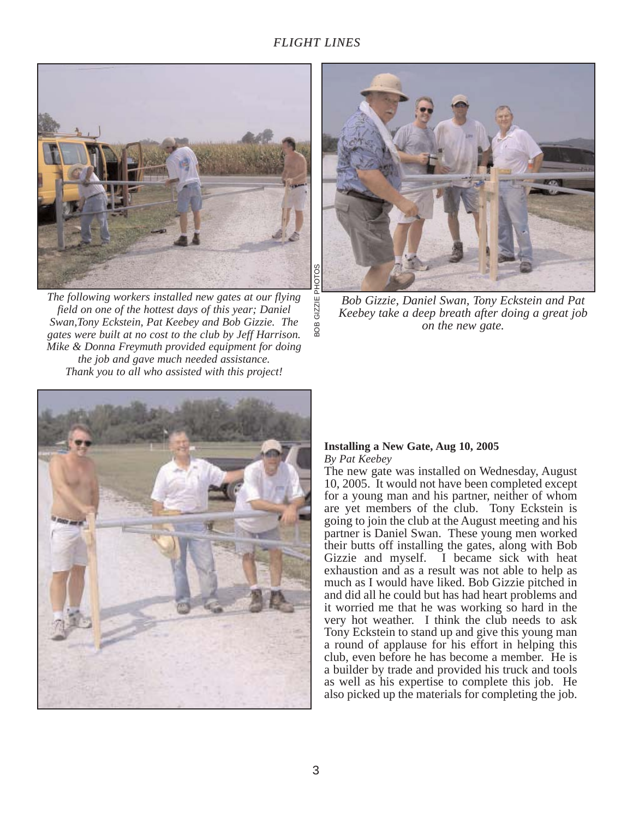ВOВ



*The following workers installed new gates at our flying field on one of the hottest days of this year; Daniel Swan,Tony Eckstein, Pat Keebey and Bob Gizzie. The gates were built at no cost to the club by Jeff Harrison. Mike & Donna Freymuth provided equipment for doing the job and gave much needed assistance. Thank you to all who assisted with this project!*



*Bob Gizzie, Daniel Swan, Tony Eckstein and Pat Keebey take a deep breath after doing a great job on the new gate.*



#### **Installing a New Gate, Aug 10, 2005**  *By Pat Keebey*

The new gate was installed on Wednesday, August 10, 2005. It would not have been completed except for a young man and his partner, neither of whom are yet members of the club. Tony Eckstein is going to join the club at the August meeting and his partner is Daniel Swan. These young men worked their butts off installing the gates, along with Bob Gizzie and myself. I became sick with heat exhaustion and as a result was not able to help as much as I would have liked. Bob Gizzie pitched in and did all he could but has had heart problems and it worried me that he was working so hard in the very hot weather. I think the club needs to ask Tony Eckstein to stand up and give this young man a round of applause for his effort in helping this club, even before he has become a member. He is a builder by trade and provided his truck and tools as well as his expertise to complete this job. He also picked up the materials for completing the job.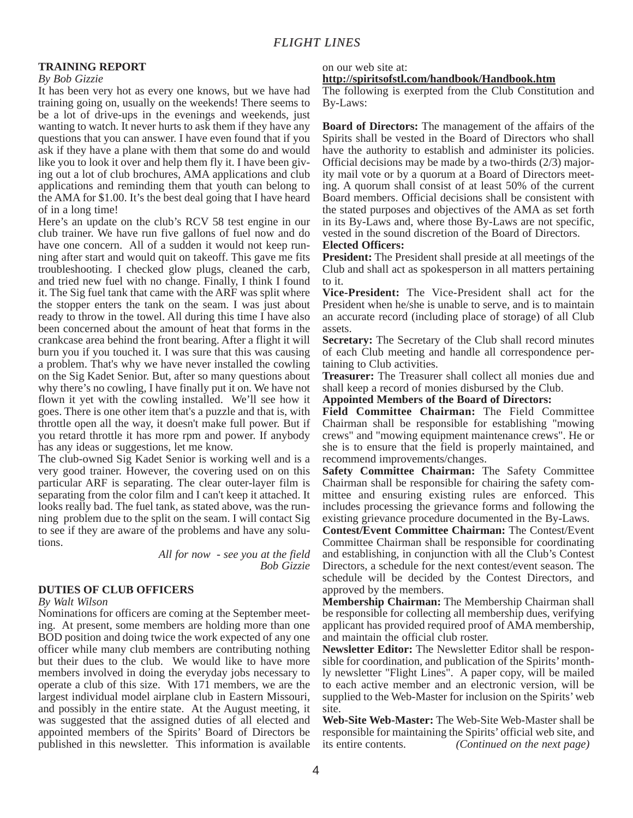#### **TRAINING REPORT**

#### *By Bob Gizzie*

It has been very hot as every one knows, but we have had training going on, usually on the weekends! There seems to be a lot of drive-ups in the evenings and weekends, just wanting to watch. It never hurts to ask them if they have any questions that you can answer. I have even found that if you ask if they have a plane with them that some do and would like you to look it over and help them fly it. I have been giving out a lot of club brochures, AMA applications and club applications and reminding them that youth can belong to the AMA for \$1.00. It's the best deal going that I have heard of in a long time!

Here's an update on the club's RCV 58 test engine in our club trainer. We have run five gallons of fuel now and do have one concern. All of a sudden it would not keep running after start and would quit on takeoff. This gave me fits troubleshooting. I checked glow plugs, cleaned the carb, and tried new fuel with no change. Finally, I think I found it. The Sig fuel tank that came with the ARF was split where the stopper enters the tank on the seam. I was just about ready to throw in the towel. All during this time I have also been concerned about the amount of heat that forms in the crankcase area behind the front bearing. After a flight it will burn you if you touched it. I was sure that this was causing a problem. That's why we have never installed the cowling on the Sig Kadet Senior. But, after so many questions about why there's no cowling, I have finally put it on. We have not flown it yet with the cowling installed. We'll see how it goes. There is one other item that's a puzzle and that is, with throttle open all the way, it doesn't make full power. But if you retard throttle it has more rpm and power. If anybody has any ideas or suggestions, let me know.

The club-owned Sig Kadet Senior is working well and is a very good trainer. However, the covering used on on this particular ARF is separating. The clear outer-layer film is separating from the color film and I can't keep it attached. It looks really bad. The fuel tank, as stated above, was the running problem due to the split on the seam. I will contact Sig to see if they are aware of the problems and have any solutions.

*All for now - see you at the field Bob Gizzie*

#### **DUTIES OF CLUB OFFICERS**

#### *By Walt Wilson*

Nominations for officers are coming at the September meeting. At present, some members are holding more than one BOD position and doing twice the work expected of any one officer while many club members are contributing nothing but their dues to the club. We would like to have more members involved in doing the everyday jobs necessary to operate a club of this size. With 171 members, we are the largest individual model airplane club in Eastern Missouri, and possibly in the entire state. At the August meeting, it was suggested that the assigned duties of all elected and appointed members of the Spirits' Board of Directors be published in this newsletter. This information is available

#### on our web site at:

**http://spiritsofstl.com/handbook/Handbook.htm**

The following is exerpted from the Club Constitution and By-Laws:

**Board of Directors:** The management of the affairs of the Spirits shall be vested in the Board of Directors who shall have the authority to establish and administer its policies. Official decisions may be made by a two-thirds (2/3) majority mail vote or by a quorum at a Board of Directors meeting. A quorum shall consist of at least 50% of the current Board members. Official decisions shall be consistent with the stated purposes and objectives of the AMA as set forth in its By-Laws and, where those By-Laws are not specific, vested in the sound discretion of the Board of Directors.

#### **Elected Officers:**

**President:** The President shall preside at all meetings of the Club and shall act as spokesperson in all matters pertaining to it.

**Vice-President:** The Vice-President shall act for the President when he/she is unable to serve, and is to maintain an accurate record (including place of storage) of all Club assets.

**Secretary:** The Secretary of the Club shall record minutes of each Club meeting and handle all correspondence pertaining to Club activities.

**Treasurer:** The Treasurer shall collect all monies due and shall keep a record of monies disbursed by the Club.

**Appointed Members of the Board of Directors:**

**Field Committee Chairman:** The Field Committee Chairman shall be responsible for establishing "mowing crews" and "mowing equipment maintenance crews". He or she is to ensure that the field is properly maintained, and recommend improvements/changes.

**Safety Committee Chairman:** The Safety Committee Chairman shall be responsible for chairing the safety committee and ensuring existing rules are enforced. This includes processing the grievance forms and following the existing grievance procedure documented in the By-Laws.

**Contest/Event Committee Chairman:** The Contest/Event Committee Chairman shall be responsible for coordinating and establishing, in conjunction with all the Club's Contest Directors, a schedule for the next contest/event season. The schedule will be decided by the Contest Directors, and approved by the members.

**Membership Chairman:** The Membership Chairman shall be responsible for collecting all membership dues, verifying applicant has provided required proof of AMA membership, and maintain the official club roster.

**Newsletter Editor:** The Newsletter Editor shall be responsible for coordination, and publication of the Spirits' monthly newsletter "Flight Lines". A paper copy, will be mailed to each active member and an electronic version, will be supplied to the Web-Master for inclusion on the Spirits' web site.

**Web-Site Web-Master:** The Web-Site Web-Master shall be responsible for maintaining the Spirits' official web site, and its entire contents. *(Continued on the next page)*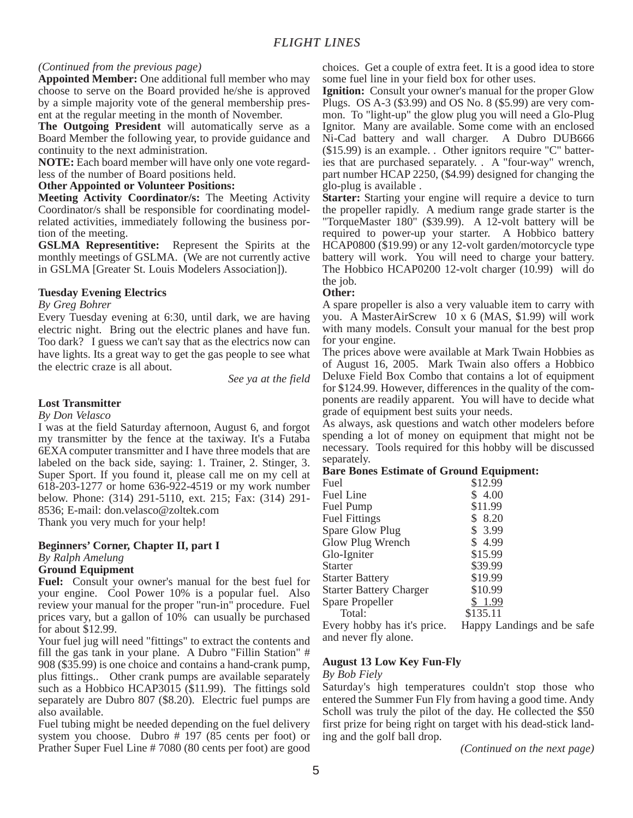#### *(Continued from the previous page)*

**Appointed Member:** One additional full member who may choose to serve on the Board provided he/she is approved by a simple majority vote of the general membership present at the regular meeting in the month of November.

**The Outgoing President** will automatically serve as a Board Member the following year, to provide guidance and continuity to the next administration.

**NOTE:** Each board member will have only one vote regardless of the number of Board positions held.

#### **Other Appointed or Volunteer Positions:**

**Meeting Activity Coordinator/s:** The Meeting Activity Coordinator/s shall be responsible for coordinating modelrelated activities, immediately following the business portion of the meeting.

**GSLMA Representitive:** Represent the Spirits at the monthly meetings of GSLMA. (We are not currently active in GSLMA [Greater St. Louis Modelers Association]).

#### **Tuesday Evening Electrics**

#### *By Greg Bohrer*

Every Tuesday evening at 6:30, until dark, we are having electric night. Bring out the electric planes and have fun. Too dark? I guess we can't say that as the electrics now can have lights. Its a great way to get the gas people to see what the electric craze is all about.

*See ya at the field*

#### **Lost Transmitter**

#### *By Don Velasco*

I was at the field Saturday afternoon, August 6, and forgot my transmitter by the fence at the taxiway. It's a Futaba 6EXA computer transmitter and I have three models that are labeled on the back side, saying: 1. Trainer, 2. Stinger, 3. Super Sport. If you found it, please call me on my cell at 618-203-1277 or home 636-922-4519 or my work number below. Phone: (314) 291-5110, ext. 215; Fax: (314) 291- 8536; E-mail: don.velasco@zoltek.com Thank you very much for your help!

#### **Beginners' Corner, Chapter II, part I** *By Ralph Amelung* **Ground Equipment**

**Fuel:** Consult your owner's manual for the best fuel for your engine. Cool Power 10% is a popular fuel. Also review your manual for the proper "run-in" procedure. Fuel prices vary, but a gallon of 10% can usually be purchased for about \$12.99.

Your fuel jug will need "fittings" to extract the contents and fill the gas tank in your plane. A Dubro "Fillin Station" # 908 (\$35.99) is one choice and contains a hand-crank pump, plus fittings.. Other crank pumps are available separately such as a Hobbico HCAP3015 (\$11.99). The fittings sold separately are Dubro 807 (\$8.20). Electric fuel pumps are also available.

Fuel tubing might be needed depending on the fuel delivery system you choose. Dubro # 197 (85 cents per foot) or Prather Super Fuel Line # 7080 (80 cents per foot) are good choices. Get a couple of extra feet. It is a good idea to store some fuel line in your field box for other uses.

**Ignition:** Consult your owner's manual for the proper Glow Plugs. OS A-3 (\$3.99) and OS No. 8 (\$5.99) are very common. To "light-up" the glow plug you will need a Glo-Plug Ignitor. Many are available. Some come with an enclosed Ni-Cad battery and wall charger. A Dubro DUB666 (\$15.99) is an example. . Other ignitors require "C" batteries that are purchased separately. . A "four-way" wrench, part number HCAP 2250, (\$4.99) designed for changing the glo-plug is available .

**Starter:** Starting your engine will require a device to turn the propeller rapidly. A medium range grade starter is the "TorqueMaster 180" (\$39.99). A 12-volt battery will be required to power-up your starter. A Hobbico battery HCAP0800 (\$19.99) or any 12-volt garden/motorcycle type battery will work. You will need to charge your battery. The Hobbico HCAP0200 12-volt charger (10.99) will do the job.

#### **Other:**

A spare propeller is also a very valuable item to carry with you. A MasterAirScrew 10 x 6 (MAS, \$1.99) will work with many models. Consult your manual for the best prop for your engine.

The prices above were available at Mark Twain Hobbies as of August 16, 2005. Mark Twain also offers a Hobbico Deluxe Field Box Combo that contains a lot of equipment for \$124.99. However, differences in the quality of the components are readily apparent. You will have to decide what grade of equipment best suits your needs.

As always, ask questions and watch other modelers before spending a lot of money on equipment that might not be necessary. Tools required for this hobby will be discussed separately.

#### **Bare Bones Estimate of Ground Equipment:**

| Fuel                           | \$12.99                    |
|--------------------------------|----------------------------|
| Fuel Line                      | 4.00                       |
| Fuel Pump                      | \$11.99                    |
| <b>Fuel Fittings</b>           | \$ 8.20                    |
| Spare Glow Plug                | \$3.99                     |
| Glow Plug Wrench               | 4.99                       |
| Glo-Igniter                    | \$15.99                    |
| <b>Starter</b>                 | \$39.99                    |
| <b>Starter Battery</b>         | \$19.99                    |
| <b>Starter Battery Charger</b> | \$10.99                    |
| Spare Propeller                | \$1.99                     |
| Total:                         | \$135.11                   |
| Every hobby has it's price.    | Happy Landings and be safe |
|                                |                            |

and never fly alone.

#### **August 13 Low Key Fun-Fly**

#### *By Bob Fiely*

Saturday's high temperatures couldn't stop those who entered the Summer Fun Fly from having a good time. Andy Scholl was truly the pilot of the day. He collected the \$50 first prize for being right on target with his dead-stick landing and the golf ball drop.

*(Continued on the next page)*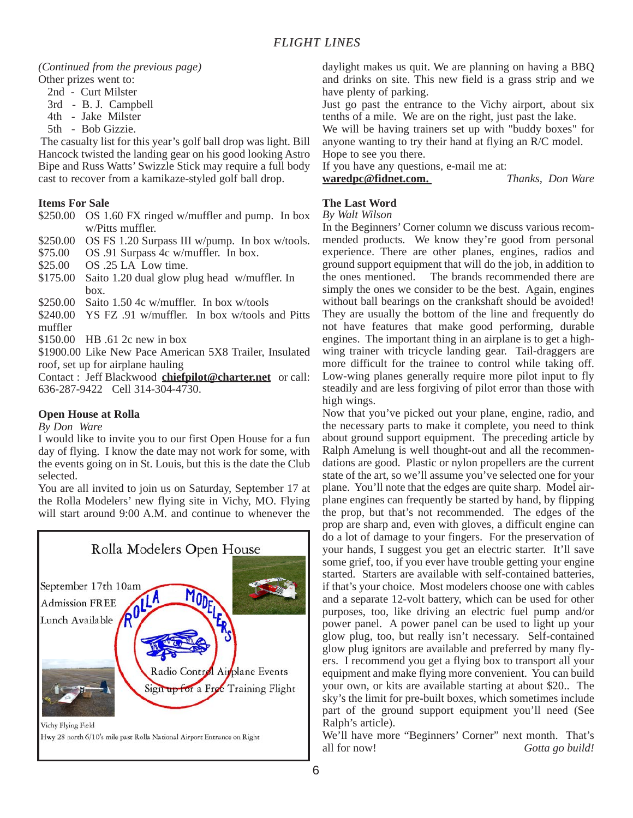#### *(Continued from the previous page)* Other prizes went to:

- 2nd Curt Milster
- 3rd B. J. Campbell
- 4th Jake Milster
- 5th Bob Gizzie.

The casualty list for this year's golf ball drop was light. Bill Hancock twisted the landing gear on his good looking Astro Bipe and Russ Watts' Swizzle Stick may require a full body cast to recover from a kamikaze-styled golf ball drop.

#### **Items For Sale**

- \$250.00 OS 1.60 FX ringed w/muffler and pump. In box w/Pitts muffler.
- \$250.00 OS FS 1.20 Surpass III w/pump. In box w/tools.
- \$75.00 OS .91 Surpass 4c w/muffler. In box.
- \$25.00 OS .25 LA Low time.
- \$175.00 Saito 1.20 dual glow plug head w/muffler. In box.
- \$250.00 Saito 1.50 4c w/muffler. In box w/tools
- \$240.00 YS FZ .91 w/muffler. In box w/tools and Pitts muffler
- \$150.00 HB .61 2c new in box

\$1900.00 Like New Pace American 5X8 Trailer, Insulated roof, set up for airplane hauling

Contact : Jeff Blackwood **chiefpilot@charter.net** or call: 636-287-9422 Cell 314-304-4730.

#### **Open House at Rolla**

#### *By Don Ware*

I would like to invite you to our first Open House for a fun day of flying. I know the date may not work for some, with the events going on in St. Louis, but this is the date the Club selected.

You are all invited to join us on Saturday, September 17 at the Rolla Modelers' new flying site in Vichy, MO. Flying will start around 9:00 A.M. and continue to whenever the



daylight makes us quit. We are planning on having a BBQ and drinks on site. This new field is a grass strip and we have plenty of parking.

Just go past the entrance to the Vichy airport, about six tenths of a mile. We are on the right, just past the lake.

We will be having trainers set up with "buddy boxes" for anyone wanting to try their hand at flying an R/C model. Hope to see you there.

If you have any questions, e-mail me at:

**waredpc@fidnet.com.** *Thanks, Don Ware*

### **The Last Word**

#### *By Walt Wilson*

In the Beginners' Corner column we discuss various recommended products. We know they're good from personal experience. There are other planes, engines, radios and ground support equipment that will do the job, in addition to the ones mentioned. The brands recommended there are simply the ones we consider to be the best. Again, engines without ball bearings on the crankshaft should be avoided! They are usually the bottom of the line and frequently do not have features that make good performing, durable engines. The important thing in an airplane is to get a highwing trainer with tricycle landing gear. Tail-draggers are more difficult for the trainee to control while taking off. Low-wing planes generally require more pilot input to fly steadily and are less forgiving of pilot error than those with high wings.

Now that you've picked out your plane, engine, radio, and the necessary parts to make it complete, you need to think about ground support equipment. The preceding article by Ralph Amelung is well thought-out and all the recommendations are good. Plastic or nylon propellers are the current state of the art, so we'll assume you've selected one for your plane. You'll note that the edges are quite sharp. Model airplane engines can frequently be started by hand, by flipping the prop, but that's not recommended. The edges of the prop are sharp and, even with gloves, a difficult engine can do a lot of damage to your fingers. For the preservation of your hands, I suggest you get an electric starter. It'll save some grief, too, if you ever have trouble getting your engine started. Starters are available with self-contained batteries, if that's your choice. Most modelers choose one with cables and a separate 12-volt battery, which can be used for other purposes, too, like driving an electric fuel pump and/or power panel. A power panel can be used to light up your glow plug, too, but really isn't necessary. Self-contained glow plug ignitors are available and preferred by many flyers. I recommend you get a flying box to transport all your equipment and make flying more convenient. You can build your own, or kits are available starting at about \$20.. The sky's the limit for pre-built boxes, which sometimes include part of the ground support equipment you'll need (See Ralph's article).

We'll have more "Beginners' Corner" next month. That's all for now! *Gotta go build!*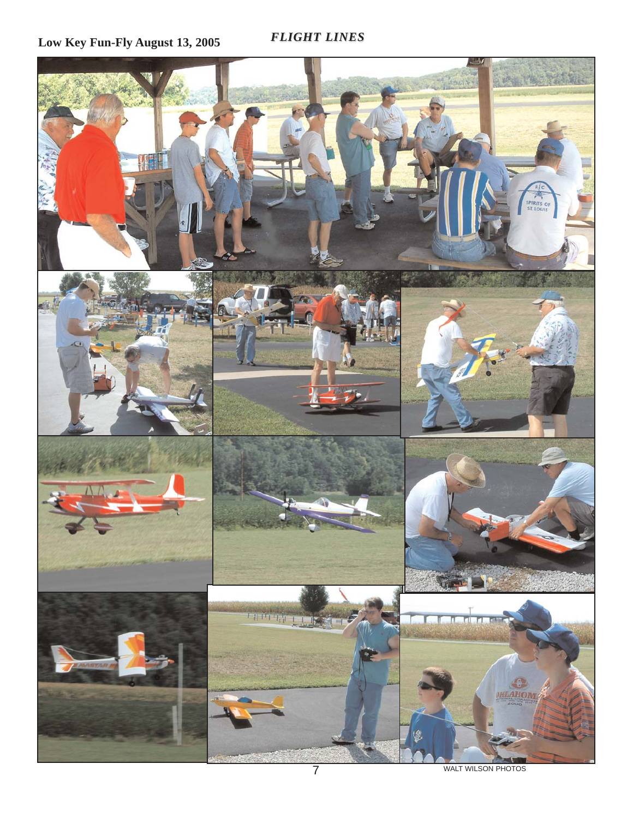**Low Key Fun-Fly August 13, 2005**

*FLIGHT LINES FLIGHT LINES*



WALT WILSON PHOTOS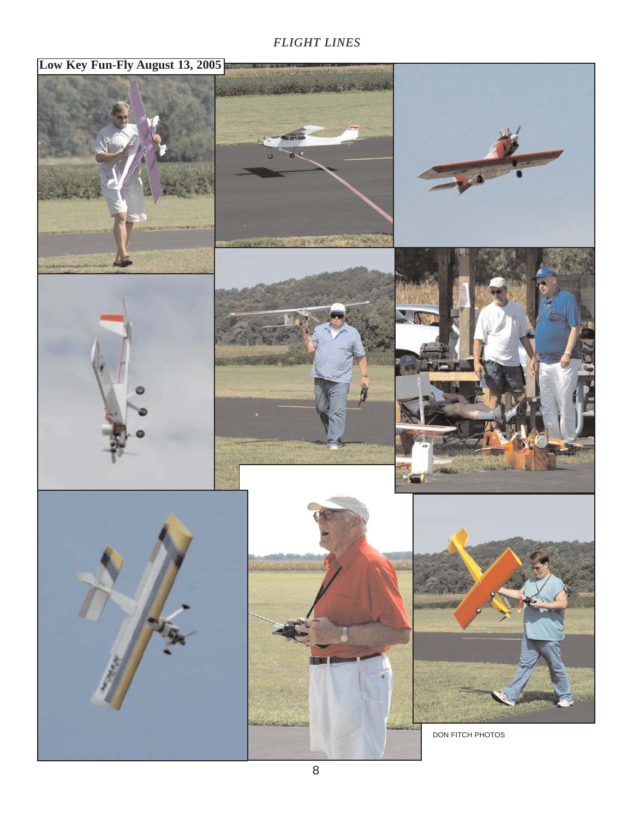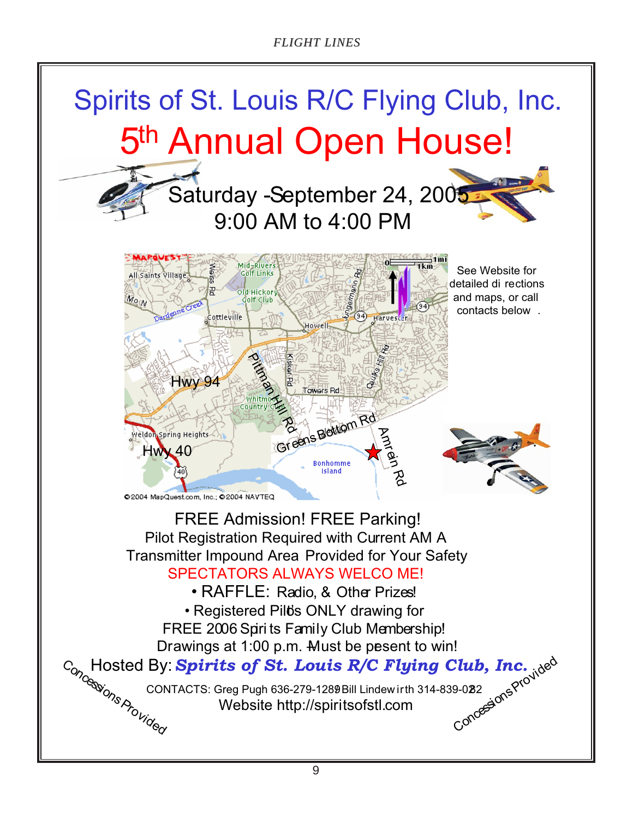